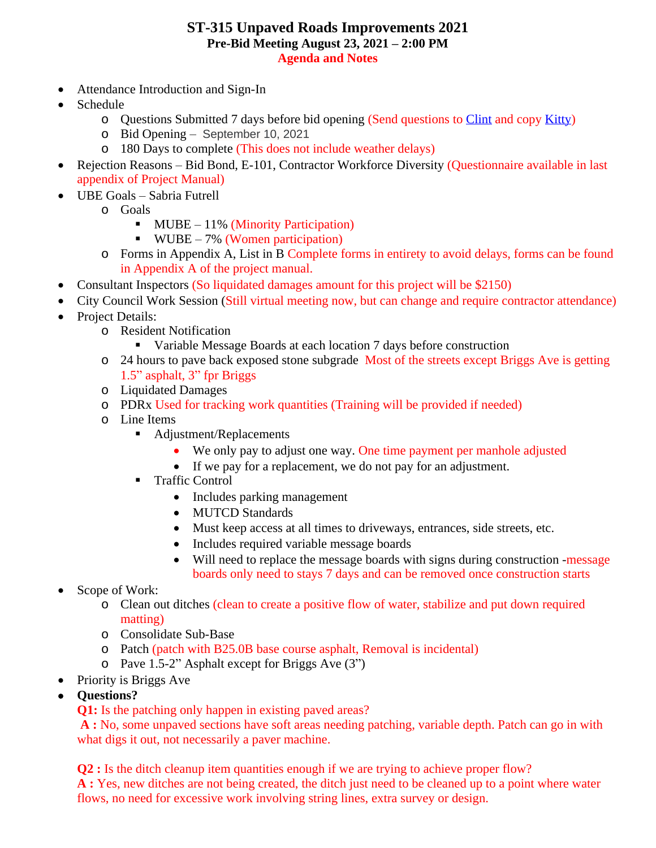## **ST-315 Unpaved Roads Improvements 2021 Pre-Bid Meeting August 23, 2021 – 2:00 PM Agenda and Notes**

- Attendance Introduction and Sign-In
- Schedule
	- o Questions Submitted 7 days before bid opening (Send questions to [Clint](mailto:clint.blackburn@durhamnc.gov) and copy [Kitty](mailto:Kitty.Thomas@durhamnc.gov))
	- o Bid Opening September 10, 2021
	- o 180 Days to complete (This does not include weather delays)
- Rejection Reasons Bid Bond, E-101, Contractor Workforce Diversity (Questionnaire available in last appendix of Project Manual)
- UBE Goals Sabria Futrell
	- o Goals
		- $\blacksquare$  MUBE 11% (Minority Participation)
		- WUBE 7% (Women participation)
	- o Forms in Appendix A, List in B Complete forms in entirety to avoid delays, forms can be found in Appendix A of the project manual.
- Consultant Inspectors (So liquidated damages amount for this project will be \$2150)
- City Council Work Session (Still virtual meeting now, but can change and require contractor attendance)
- Project Details:
	- o Resident Notification
		- Variable Message Boards at each location 7 days before construction
	- o 24 hours to pave back exposed stone subgrade Most of the streets except Briggs Ave is getting 1.5" asphalt, 3" fpr Briggs
	- o Liquidated Damages
	- o PDRx Used for tracking work quantities (Training will be provided if needed)
	- o Line Items
		- Adjustment/Replacements
			- We only pay to adjust one way. One time payment per manhole adjusted
			- If we pay for a replacement, we do not pay for an adjustment.
		- **Traffic Control** 
			- Includes parking management
			- MUTCD Standards
			- Must keep access at all times to driveways, entrances, side streets, etc.
			- Includes required variable message boards
			- Will need to replace the message boards with signs during construction -message boards only need to stays 7 days and can be removed once construction starts
- Scope of Work:
	- o Clean out ditches (clean to create a positive flow of water, stabilize and put down required matting)
	- o Consolidate Sub-Base
	- o Patch (patch with B25.0B base course asphalt, Removal is incidental)
	- o Pave 1.5-2" Asphalt except for Briggs Ave (3")
- Priority is Briggs Ave
- **Questions?**

**Q1:** Is the patching only happen in existing paved areas?

**A :** No, some unpaved sections have soft areas needing patching, variable depth. Patch can go in with what digs it out, not necessarily a paver machine.

**Q2** : Is the ditch cleanup item quantities enough if we are trying to achieve proper flow? **A :** Yes, new ditches are not being created, the ditch just need to be cleaned up to a point where water flows, no need for excessive work involving string lines, extra survey or design.